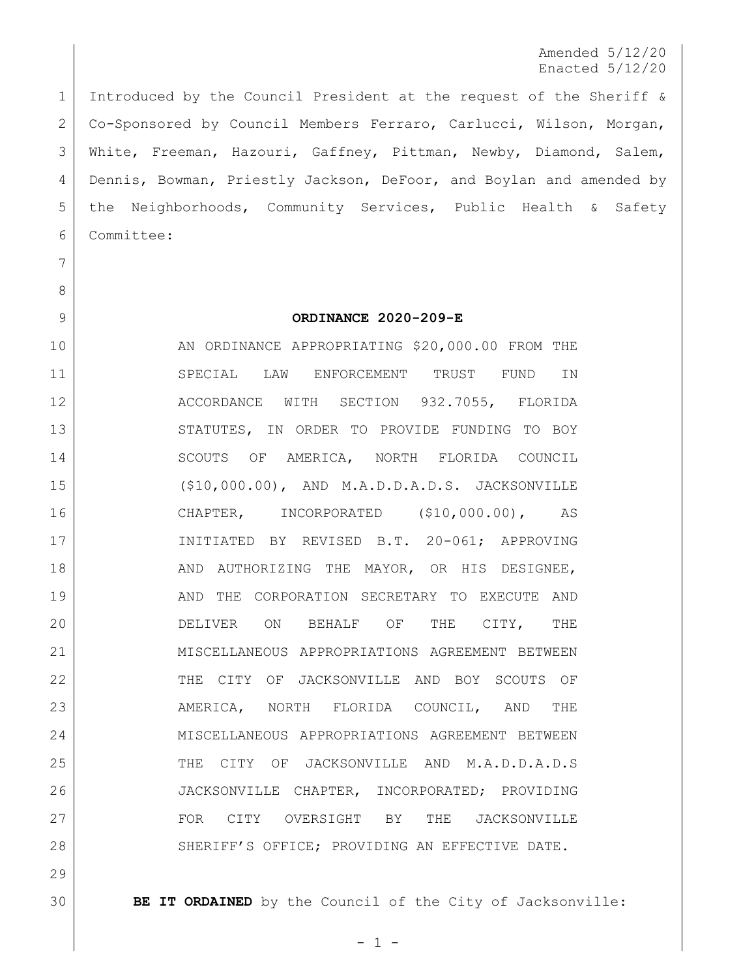Amended 5/12/20 Enacted 5/12/20

 Introduced by the Council President at the request of the Sheriff & Co-Sponsored by Council Members Ferraro, Carlucci, Wilson, Morgan, White, Freeman, Hazouri, Gaffney, Pittman, Newby, Diamond, Salem, Dennis, Bowman, Priestly Jackson, DeFoor, and Boylan and amended by the Neighborhoods, Community Services, Public Health & Safety Committee:

- 
- 

## **ORDINANCE 2020-209-E**

10 AN ORDINANCE APPROPRIATING \$20,000.00 FROM THE SPECIAL LAW ENFORCEMENT TRUST FUND IN 12 ACCORDANCE WITH SECTION 932.7055, FLORIDA 13 STATUTES, IN ORDER TO PROVIDE FUNDING TO BOY 14 SCOUTS OF AMERICA, NORTH FLORIDA COUNCIL (\$10,000.00), AND M.A.D.D.A.D.S. JACKSONVILLE CHAPTER, INCORPORATED (\$10,000.00), AS INITIATED BY REVISED B.T. 20-061; APPROVING 18 | AND AUTHORIZING THE MAYOR, OR HIS DESIGNEE, 19 AND THE CORPORATION SECRETARY TO EXECUTE AND 20 DELIVER ON BEHALF OF THE CITY, THE MISCELLANEOUS APPROPRIATIONS AGREEMENT BETWEEN THE CITY OF JACKSONVILLE AND BOY SCOUTS OF AMERICA, NORTH FLORIDA COUNCIL, AND THE MISCELLANEOUS APPROPRIATIONS AGREEMENT BETWEEN THE CITY OF JACKSONVILLE AND M.A.D.D.A.D.S JACKSONVILLE CHAPTER, INCORPORATED; PROVIDING FOR CITY OVERSIGHT BY THE JACKSONVILLE 28 SHERIFF'S OFFICE; PROVIDING AN EFFECTIVE DATE.

**BE IT ORDAINED** by the Council of the City of Jacksonville: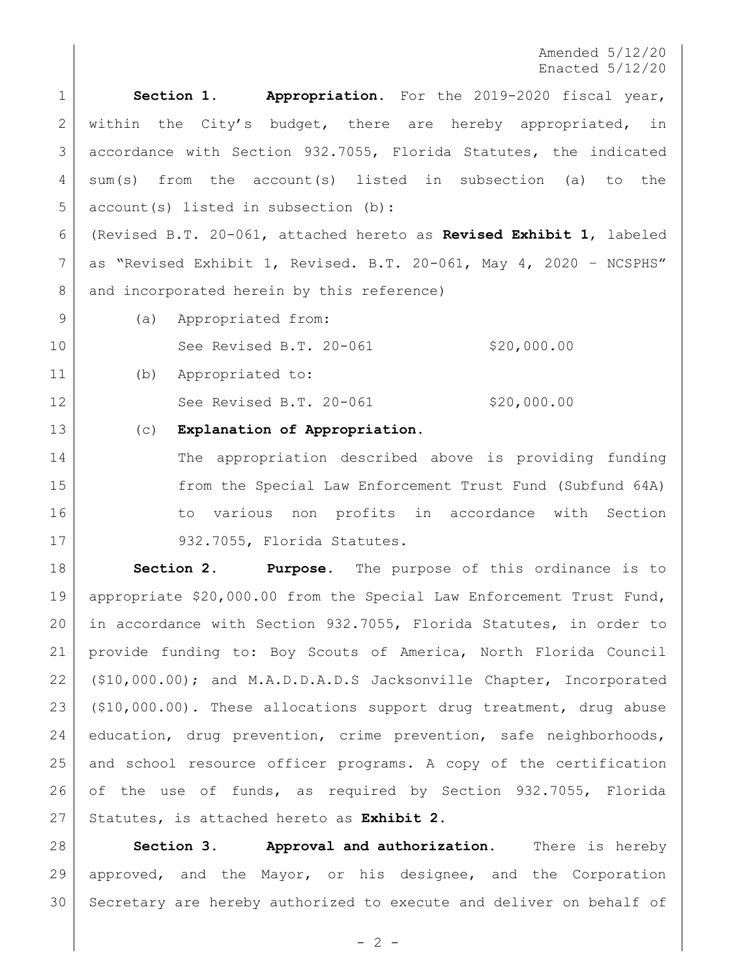Amended 5/12/20 Enacted 5/12/20

 **Section 1. Appropriation.** For the 2019-2020 fiscal year, 2 | within the City's budget, there are hereby appropriated, in accordance with Section 932.7055, Florida Statutes, the indicated sum(s) from the account(s) listed in subsection (a) to the 5 account (s) listed in subsection (b): (Revised B.T. 20-061, attached hereto as **Revised Exhibit 1**, labeled

 as "Revised Exhibit 1, Revised. B.T. 20-061, May 4, 2020 – NCSPHS" 8 and incorporated herein by this reference)

9 (a) Appropriated from:

10 See Revised B.T. 20-061 \$20,000.00

(b) Appropriated to:

12 | See Revised B.T. 20-061 \$20,000.00

## (c) **Explanation of Appropriation.**

14 The appropriation described above is providing funding from the Special Law Enforcement Trust Fund (Subfund 64A) 16 16 to various non profits in accordance with Section 17 932.7055, Florida Statutes.

 **Section 2. Purpose.** The purpose of this ordinance is to appropriate \$20,000.00 from the Special Law Enforcement Trust Fund, in accordance with Section 932.7055, Florida Statutes, in order to provide funding to: Boy Scouts of America, North Florida Council (\$10,000.00); and M.A.D.D.A.D.S Jacksonville Chapter, Incorporated (\$10,000.00). These allocations support drug treatment, drug abuse education, drug prevention, crime prevention, safe neighborhoods, and school resource officer programs. A copy of the certification of the use of funds, as required by Section 932.7055, Florida Statutes, is attached hereto as **Exhibit 2**.

 **Section 3. Approval and authorization.** There is hereby approved, and the Mayor, or his designee, and the Corporation Secretary are hereby authorized to execute and deliver on behalf of